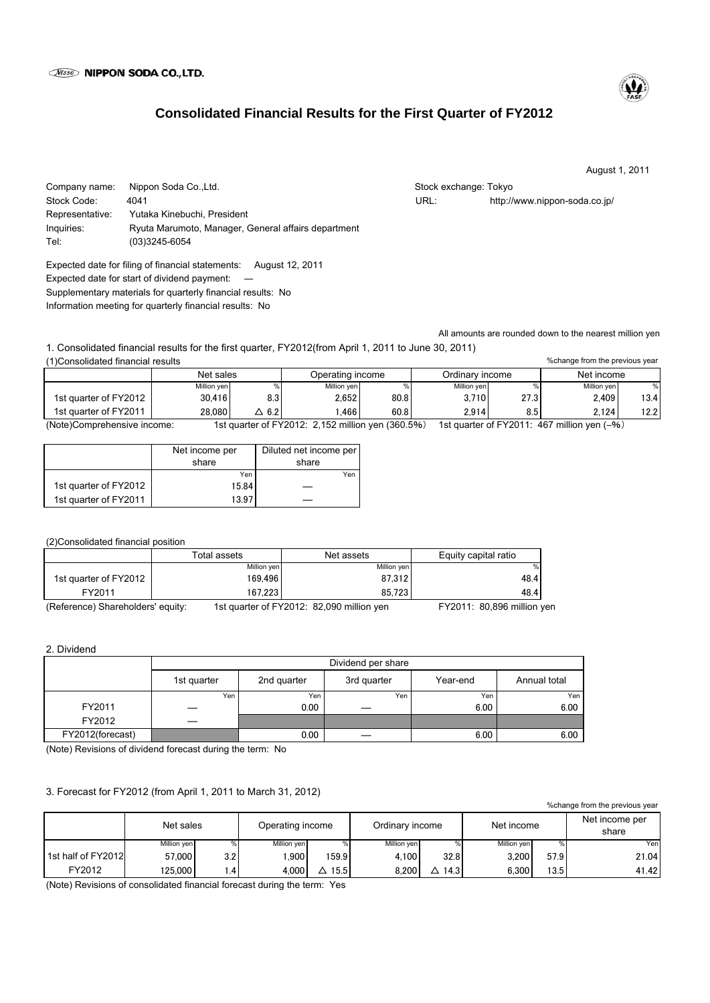# **Consolidated Financial Results for the First Quarter of FY2012**

August 1, 2011

Company name: Nippon Soda Co.,Ltd. Stock exchange: Tokyo Stock exchange: Tokyo Stock Code: 4041 URL: http://www.nippon-soda.co.jp/ Representative: Yutaka Kinebuchi, President Inquiries: Ryuta Marumoto, Manager, General affairs department Tel: (03)3245-6054

Expected date for filing of financial statements: August 12, 2011 Expected date for start of dividend payment: Supplementary materials for quarterly financial results: No Information meeting for quarterly financial results: No

All amounts are rounded down to the nearest million yen

1. Consolidated financial results for the first quarter, FY2012(from April 1, 2011 to June 30, 2011) (1)Consolidated financial results

| TICUISUIIUALEU IIITAHUJAI TESUILSI<br><i>o</i> change nonrule previous year |             |              |                                                       |      |                 |                  |                                                       |      |
|-----------------------------------------------------------------------------|-------------|--------------|-------------------------------------------------------|------|-----------------|------------------|-------------------------------------------------------|------|
|                                                                             | Net sales   |              | Operating income                                      |      | Ordinary income |                  | Net income                                            |      |
|                                                                             | Million yen |              | Million ven                                           |      | Million yen     |                  | Million ven                                           | %.   |
| 1st quarter of FY2012                                                       | 30.416      | 8.3          | 2.652                                                 | 80.8 | 3.710           | 27.3             | 2.409                                                 | 13.4 |
| 1st quarter of FY2011                                                       | 28.080      | $\Delta$ 6.2 | .466                                                  | 60.8 | 2.914           | 8.5 <sub>1</sub> | 2.124                                                 | 12.2 |
| (Note)Comprehensive income:                                                 |             |              | 1st quarter of $FY2012: 2152$ million ven $(360.5\%)$ |      |                 |                  | 1st quarter of $FY2011 \cdot 467$ million ven $(-\%)$ |      |

(Note)Comprehensive income: 1st quarter of FY2012: 2,152 million yen (360.5%) 1st quarter of FY2011: 467 million yen (―%)

|                       | Net income per | Diluted net income per |
|-----------------------|----------------|------------------------|
|                       | share          | share                  |
|                       | Yen            | Yen                    |
| 1st quarter of FY2012 | 15.84          |                        |
| 1st quarter of FY2011 | 13.97          |                        |

(2)Consolidated financial position

|                                   | Total assets | Net assets                                | Equity capital ratio       |
|-----------------------------------|--------------|-------------------------------------------|----------------------------|
|                                   | Million yen  | Million yen                               | %                          |
| 1st quarter of FY2012             | 169.496      | 87.312                                    | 48.4                       |
| FY2011                            | 167.223      | 85.723                                    | 48.4                       |
| (Reference) Shareholders' equity: |              | 1st quarter of FY2012: 82,090 million yen | FY2011: 80,896 million yen |

2. Dividend

|                  | Dividend per share |             |             |          |              |  |  |
|------------------|--------------------|-------------|-------------|----------|--------------|--|--|
|                  | 1st quarter        | 2nd quarter | 3rd quarter | Year-end | Annual total |  |  |
|                  | Yen                | Yen         | Yen         | Yen      | Yen          |  |  |
| FY2011           |                    | 0.00        |             | 6.00     | 6.00         |  |  |
| FY2012           |                    |             |             |          |              |  |  |
| FY2012(forecast) |                    | 0.00        |             | 6.00     | 6.00         |  |  |

(Note) Revisions of dividend forecast during the term: No

## 3. Forecast for FY2012 (from April 1, 2011 to March 31, 2012)

| <i>loorlange from the previous year</i> |             |         |                  |       |                 |           |             |      |                         |
|-----------------------------------------|-------------|---------|------------------|-------|-----------------|-----------|-------------|------|-------------------------|
|                                         | Net sales   |         | Operating income |       | Ordinary income |           | Net income  |      | Net income per<br>share |
|                                         | Million yen |         | Million yen      | %     | Million ven     |           | Million ven |      | Yenl                    |
| 1st half of FY2012                      | 57.000      | 3.2     | .900             | 159.9 | 4.100           | 32.8      | 3.200       | 57.9 | 21.04                   |
| FY2012                                  | 125.000     | $\cdot$ | 4.000            | 15.5  | 8,200           | 14.3<br>Δ | 6.300       | 13.5 | 41.42                   |

(Note) Revisions of consolidated financial forecast during the term: Yes

%change from the previous year



%change from the previous year